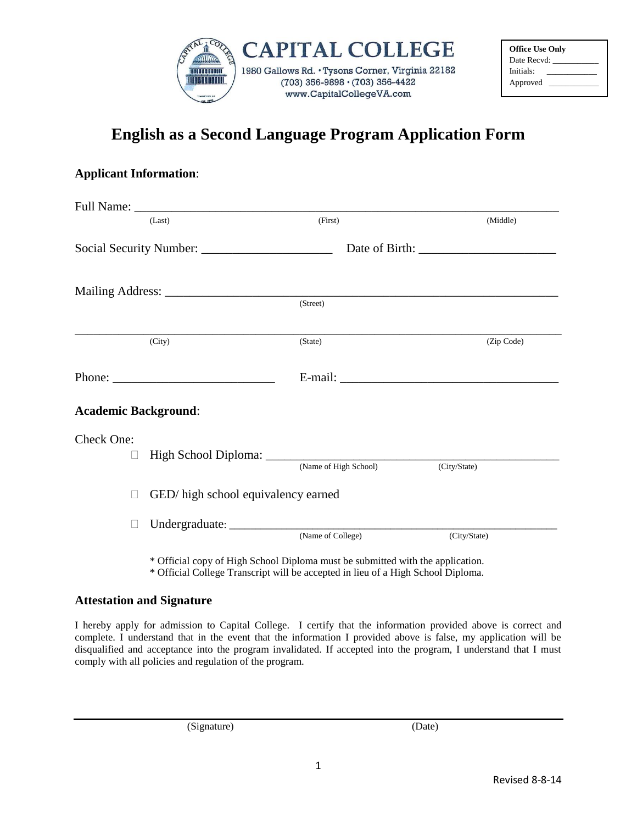

| <b>Office Use Only</b> |  |
|------------------------|--|
| Date Recyd:            |  |
| Initials:              |  |
| Approved               |  |

## **English as a Second Language Program Application Form**

## **Applicant Information**:

|                             | (Last)                              | (First)               | (Middle)     |
|-----------------------------|-------------------------------------|-----------------------|--------------|
|                             |                                     |                       |              |
|                             |                                     |                       |              |
|                             |                                     | (Street)              |              |
|                             | (City)                              | (State)               | (Zip Code)   |
|                             |                                     |                       |              |
| <b>Academic Background:</b> |                                     |                       |              |
| Check One:<br>⊔             |                                     |                       |              |
|                             |                                     | (Name of High School) | (City/State) |
| П                           | GED/ high school equivalency earned |                       |              |
|                             |                                     |                       |              |

\* Official copy of High School Diploma must be submitted with the application. \* Official College Transcript will be accepted in lieu of a High School Diploma.

## **Attestation and Signature**

I hereby apply for admission to Capital College. I certify that the information provided above is correct and complete. I understand that in the event that the information I provided above is false, my application will be disqualified and acceptance into the program invalidated. If accepted into the program, I understand that I must comply with all policies and regulation of the program.

(Signature) (Date)